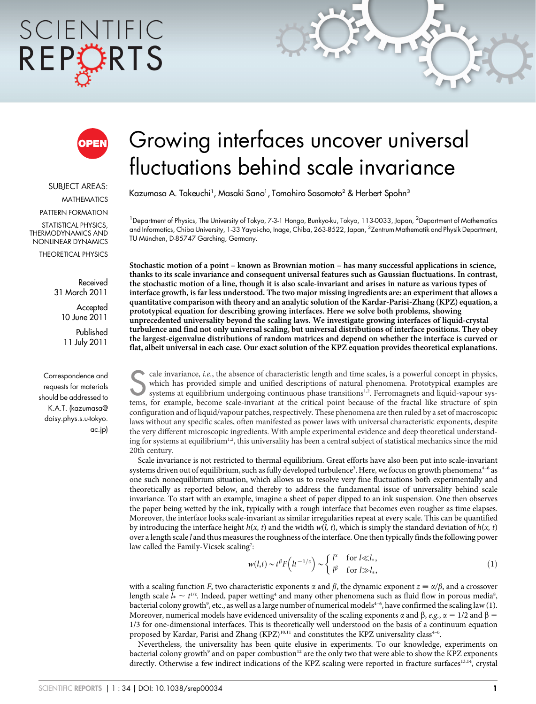# SCIENTIFIC REPORTS



SUBJECT AREAS: MATHEMATICS PATTERN FORMATION STATISTICAL PHYSICS, THERMODYNAMICS AND NONLINEAR DYNAMICS

THEORETICAL PHYSICS

Received 31 March 2011 **Accepted** 

10 June 2011

Published 11 July 2011

Correspondence and requests for materials should be addressed to K.A.T. (kazumasa@ daisy.phys.s.u-tokyo. ac.jp)

# Growing interfaces uncover universal fluctuations behind scale invariance

Kazumasa A. Takeuchi<sup>1</sup>, Masaki Sano<sup>1</sup>, Tomohiro Sasamoto<sup>2</sup> & Herbert Spohn<sup>3</sup>

<sup>1</sup>Department of Physics, The University of Tokyo, 7-3-1 Hongo, Bunkyo-ku, Tokyo, 113-0033, Japan, <sup>2</sup>Department of Mathematics and Informatics, Chiba University, 1-33 Yayoi-cho, Inage, Chiba, 263-8522, Japan, <sup>3</sup>Zentrum Mathematik and Physik Department, TU München, D-85747 Garching, Germany.

Stochastic motion of a point – known as Brownian motion – has many successful applications in science, thanks to its scale invariance and consequent universal features such as Gaussian fluctuations. In contrast, the stochastic motion of a line, though it is also scale-invariant and arises in nature as various types of interface growth, is far less understood. The two major missing ingredients are: an experiment that allows a quantitative comparison with theory and an analytic solution of the Kardar-Parisi-Zhang (KPZ) equation, a prototypical equation for describing growing interfaces. Here we solve both problems, showing unprecedented universality beyond the scaling laws. We investigate growing interfaces of liquid-crystal turbulence and find not only universal scaling, but universal distributions of interface positions. They obey the largest-eigenvalue distributions of random matrices and depend on whether the interface is curved or flat, albeit universal in each case. Our exact solution of the KPZ equation provides theoretical explanations.

Scale invariance, *i.e.*, the absence of characteristic length and time scales, is a powerful concept in physics, which has provided simple and unified descriptions of natural phenomena. Prototypical examples are systems a which has provided simple and unified descriptions of natural phenomena. Prototypical examples are tems, for example, become scale-invariant at the critical point because of the fractal like structure of spin configuration and of liquid/vapour patches, respectively. These phenomena are then ruled by a set of macroscopic laws without any specific scales, often manifested as power laws with universal characteristic exponents, despite the very different microscopic ingredients. With ample experimental evidence and deep theoretical understanding for systems at equilibrium<sup>1,2</sup>, this universality has been a central subject of statistical mechanics since the mid 20th century.

Scale invariance is not restricted to thermal equilibrium. Great efforts have also been put into scale-invariant systems driven out of equilibrium, such as fully developed turbulence<sup>3</sup>. Here, we focus on growth phenomena<sup>4-6</sup> as one such nonequilibrium situation, which allows us to resolve very fine fluctuations both experimentally and theoretically as reported below, and thereby to address the fundamental issue of universality behind scale invariance. To start with an example, imagine a sheet of paper dipped to an ink suspension. One then observes the paper being wetted by the ink, typically with a rough interface that becomes even rougher as time elapses. Moreover, the interface looks scale-invariant as similar irregularities repeat at every scale. This can be quantified by introducing the interface height  $h(x, t)$  and the width  $w(l, t)$ , which is simply the standard deviation of  $h(x, t)$ over a length scale l and thus measures the roughness of the interface. One then typically finds the following power law called the Family-Vicsek scaling<sup>7</sup>:

$$
w(l,t) \sim t^{\beta} F(lt^{-1/z}) \sim \begin{cases} l^{\alpha} & \text{for } l \ll l_*, \\ l^{\beta} & \text{for } l \gg l_*, \end{cases}
$$
 (1)

with a scaling function F, two characteristic exponents  $\alpha$  and  $\beta$ , the dynamic exponent  $z \equiv \alpha/\beta$ , and a crossover length scale  $l_*\sim t^{\scriptscriptstyle 1/z}$ . Indeed, paper wetting $^4$  and many other phenomena such as fluid flow in porous media $^8$ , bacterial colony growth°, etc., as well as a large number of numerical models<sup>4-6</sup>, have confirmed the scaling law (1). Moreover, numerical models have evidenced universality of the scaling exponents  $\alpha$  and  $\beta$ ,  $e.g., \alpha = 1/2$  and  $\beta =$ 1/3 for one-dimensional interfaces. This is theoretically well understood on the basis of a continuum equation proposed by Kardar, Parisi and Zhang (KPZ)<sup>10,11</sup> and constitutes the KPZ universality class<sup>4-6</sup>.

Nevertheless, the universality has been quite elusive in experiments. To our knowledge, experiments on bacterial colony growth<sup>9</sup> and on paper combustion<sup>12</sup> are the only two that were able to show the KPZ exponents directly. Otherwise a few indirect indications of the KPZ scaling were reported in fracture surfaces<sup>13,14</sup>, crystal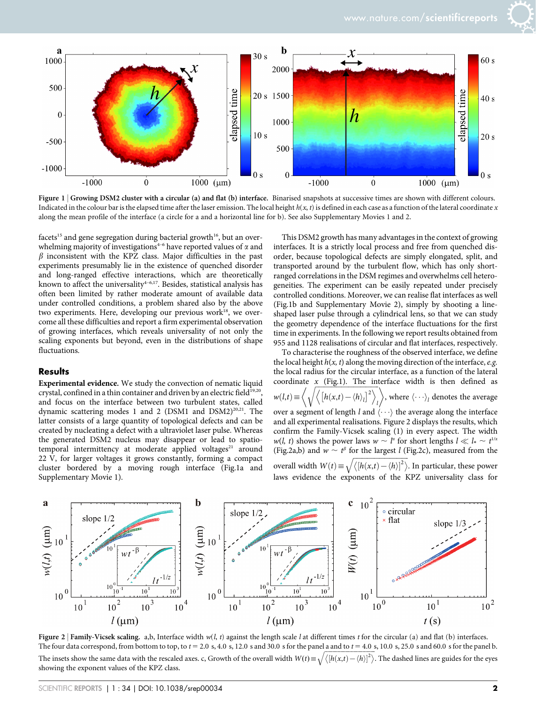

Figure 1 | Growing DSM2 cluster with a circular (a) and flat (b) interface. Binarised snapshots at successive times are shown with different colours. Indicated in the colour bar is the elapsed time after the laser emission. The local height  $h(x, t)$  is defined in each case as a function of the lateral coordinate x along the mean profile of the interface (a circle for a and a horizontal line for b). See also Supplementary Movies 1 and 2.

facets<sup>15</sup> and gene segregation during bacterial growth<sup>16</sup>, but an overwhelming majority of investigations<sup>4-6</sup> have reported values of  $\alpha$  and  $\beta$  inconsistent with the KPZ class. Major difficulties in the past experiments presumably lie in the existence of quenched disorder and long-ranged effective interactions, which are theoretically known to affect the universality<sup>4-6,17</sup>. Besides, statistical analysis has often been limited by rather moderate amount of available data under controlled conditions, a problem shared also by the above two experiments. Here, developing our previous work<sup>18</sup>, we overcome all these difficulties and report a firm experimental observation of growing interfaces, which reveals universality of not only the scaling exponents but beyond, even in the distributions of shape fluctuations.

#### **Results**

Experimental evidence. We study the convection of nematic liquid crystal, confined in a thin container and driven by an electric field<sup>19,20</sup>, and focus on the interface between two turbulent states, called dynamic scattering modes 1 and 2 (DSM1 and DSM2)<sup>20,21</sup>. The latter consists of a large quantity of topological defects and can be created by nucleating a defect with a ultraviolet laser pulse. Whereas the generated DSM2 nucleus may disappear or lead to spatiotemporal intermittency at moderate applied voltages<sup>21</sup> around 22 V, for larger voltages it grows constantly, forming a compact cluster bordered by a moving rough interface (Fig.1a and Supplementary Movie 1).

This DSM2 growth has many advantages in the context of growing interfaces. It is a strictly local process and free from quenched disorder, because topological defects are simply elongated, split, and transported around by the turbulent flow, which has only shortranged correlations in the DSM regimes and overwhelms cell heterogeneities. The experiment can be easily repeated under precisely controlled conditions. Moreover, we can realise flat interfaces as well (Fig.1b and Supplementary Movie 2), simply by shooting a lineshaped laser pulse through a cylindrical lens, so that we can study the geometry dependence of the interface fluctuations for the first time in experiments. In the following we report results obtained from 955 and 1128 realisations of circular and flat interfaces, respectively.

To characterise the roughness of the observed interface, we define the local height  $h(x, t)$  along the moving direction of the interface, e.g. the local radius for the circular interface, as a function of the lateral coordinate x (Fig.1). The interface width is then defined as  $w(l,t) \equiv$  $\left\langle \left[ h(x,t)-\langle h\rangle_l \right]^2 \right\rangle$  $\ket{l}$ , where  $\langle \cdots \rangle_l$  denotes the average over a segment of length l and  $\langle \cdots \rangle$  the average along the interface and all experimental realisations. Figure 2 displays the results, which confirm the Family-Vicsek scaling (1) in every aspect. The width  $w(l, t)$  shows the power laws  $w \sim l^{\alpha}$  for short lengths  $l \ll l_* \sim t^{1/\alpha}$ (Fig.2a,b) and  $w \sim t^{\beta}$  for the largest l (Fig.2c), measured from the overall width  $W(t) \equiv$  $\sqrt{\langle[h(x,t)-\langle h\rangle]^2\rangle}$ . In particular, these power laws evidence the exponents of the KPZ universality class for



Figure 2 | Family-Vicsek scaling. a,b, Interface width  $w(l, t)$  against the length scale l at different times t for the circular (a) and flat (b) interfaces. The four data correspond, from bottom to top, to  $t = 2.0$  s, 4.0 s, 12.0 s and 30.0 s for the panel a and to  $t = 4.0$  s, 10.0 s, 25.0 s and 60.0 s for the panel b. The insets show the same data with the rescaled axes. c, Growth of the overall width  $W(t) \equiv \sqrt{\langle [h(x,t) - \langle h \rangle]^2 \rangle}$ . The dashed lines are guides for the eyes showing the exponent values of the KPZ class.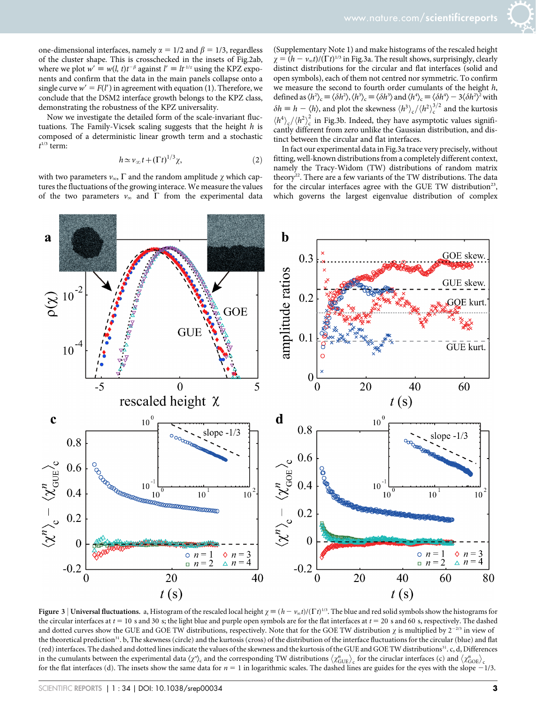one-dimensional interfaces, namely  $\alpha = 1/2$  and  $\beta = 1/3$ , regardless of the cluster shape. This is crosschecked in the insets of Fig.2ab, where we plot  $w' \equiv w(l, t)t^{-\beta}$  against  $l' \equiv lt^{-1/z}$  using the KPZ exponents and confirm that the data in the main panels collapse onto a single curve  $w' = F(l')$  in agreement with equation (1). Therefore, we conclude that the DSM2 interface growth belongs to the KPZ class, demonstrating the robustness of the KPZ universality.

Now we investigate the detailed form of the scale-invariant fluctuations. The Family-Vicsek scaling suggests that the height  $h$  is composed of a deterministic linear growth term and a stochastic  $t^{1/3}$  term:

$$
h \simeq v_{\infty} t + (\Gamma t)^{1/3} \chi,
$$
 (2)

with two parameters  $v_{\infty}$ ,  $\Gamma$  and the random amplitude  $\gamma$  which captures the fluctuations of the growing interace. We measure the values of the two parameters  $v_{\infty}$  and  $\Gamma$  from the experimental data

(Supplementary Note 1) and make histograms of the rescaled height  $\chi = (h - v_{\infty}t)/(\Gamma t)^{1/3}$  in Fig.3a. The result shows, surprisingly, clearly distinct distributions for the circular and flat interfaces (solid and open symbols), each of them not centred nor symmetric. To confirm we measure the second to fourth order cumulants of the height h, defined as  $\langle h^2 \rangle_c \equiv \langle \delta h^2 \rangle, \langle h^3 \rangle_c \equiv \langle \delta h^3 \rangle$  and  $\langle h^4 \rangle_c \equiv \langle \delta h^4 \rangle - 3 \langle \delta h^2 \rangle^2$  with  $\delta h \equiv h - \langle h \rangle$ , and plot the skewness  $\langle h^3 \rangle_c / \langle h^2 \rangle_c^{3/2}$  and the kurtosis  $\langle h^4 \rangle_c / \langle h^2 \rangle_c^2$  in Fig.3b. Indeed, they have asymptotic values significantly different from zero unlike the Gaussian distribution, and distinct between the circular and flat interfaces.

In fact our experimental data in Fig.3a trace very precisely, without fitting, well-known distributions from a completely different context, namely the Tracy-Widom (TW) distributions of random matrix theory<sup>22</sup>. There are a few variants of the TW distributions. The data for the circular interfaces agree with the GUE TW distribution<sup>23</sup>, which governs the largest eigenvalue distribution of complex



Figure 3 | Universal fluctuations. a, Histogram of the rescaled local height  $\chi = (h - v_{\infty}t)/(\Gamma t)^{1/3}$ . The blue and red solid symbols show the histograms for the circular interfaces at  $t = 10$  s and 30 s; the light blue and purple open symbols are for the flat interfaces at  $t = 20$  s and 60 s, respectively. The dashed and dotted curves show the GUE and GOE TW distributions, respectively. Note that for the GOE TW distribution  $\chi$  is multiplied by  $2^{-2/3}$  in view of the theoretical prediction<sup>31</sup>. b, The skewness (circle) and the kurtosis (cross) of the distribution of the interface fluctuations for the circular (blue) and flat (red) interfaces. The dashed and dotted lines indicate the values of the skewness and the kurtosis of the GUE and GOE TW distributions31. c, d, Differences in the cumulants between the experimental data  $\langle \chi^n \rangle_c$  and the corresponding TW distributions  $\langle \chi^n_{\text{GUE}} \rangle_c$  for the ciruclar interfaces (c) and  $\langle \chi^n_{\text{GOE}} \rangle_c$ for the flat interfaces (d). The insets show the same data for  $n = 1$  in logarithmic scales. The dashed lines are guides for the eyes with the slope  $-1/3$ .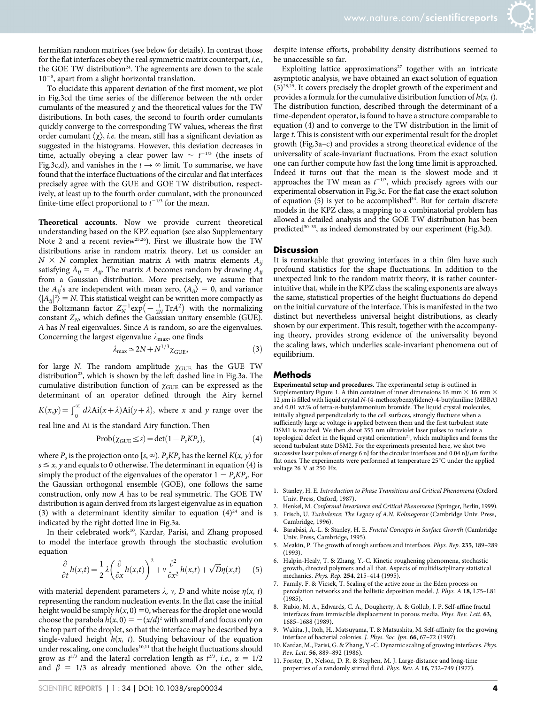hermitian random matrices (see below for details). In contrast those for the flat interfaces obey the real symmetric matrix counterpart, i.e., the GOE TW distribution<sup>24</sup>. The agreements are down to the scale  $10^{-5}$ , apart from a slight horizontal translation.

To elucidate this apparent deviation of the first moment, we plot in Fig.3cd the time series of the difference between the nth order cumulants of the measured  $\gamma$  and the theoretical values for the TW distributions. In both cases, the second to fourth order cumulants quickly converge to the corresponding TW values, whereas the first order cumulant  $\langle \chi \rangle$ , *i.e.* the mean, still has a significant deviation as suggested in the histograms. However, this deviation decreases in time, actually obeying a clear power law  $\sim t^{-1/3}$  (the insets of Fig.3c,d), and vanishes in the  $t \rightarrow \infty$  limit. To summarise, we have found that the interface fluctuations of the circular and flat interfaces precisely agree with the GUE and GOE TW distribution, respectively, at least up to the fourth order cumulant, with the pronounced finite-time effect proportional to  $t^{-1/3}$  for the mean.

Theoretical accounts. Now we provide current theoretical understanding based on the KPZ equation (see also Supplementary Note 2 and a recent review<sup>25,26</sup>). First we illustrate how the TW distributions arise in random matrix theory. Let us consider an  $N \times N$  complex hermitian matrix A with matrix elements  $A_{ii}$ satisfying  $\bar{A}_{ij} = A_{ij}$ . The matrix A becomes random by drawing  $A_{ij}$ from a Gaussian distribution. More precisely, we assume that the  $A_{ii}$ 's are independent with mean zero,  $\langle A_{ii} \rangle = 0$ , and variance  $\langle |A_{ij}|^2 \rangle = N$ . This statistical weight can be written more compactly as the Boltzmann factor  $Z_N^{-1}$ exp $\left(-\frac{1}{2N}TrA^2\right)$  with the normalizing constant  $Z_N$ , which defines the Gaussian unitary ensemble (GUE). A has N real eigenvalues. Since A is random, so are the eigenvalues. Concerning the largest eigenvalue  $\lambda_{\text{max}}$ , one finds

$$
\lambda_{\text{max}} \simeq 2N + N^{1/3} \chi_{\text{GUE}},\tag{3}
$$

for large N. The random amplitude  $\chi$ GUE has the GUE TW distribution<sup>23</sup>, which is shown by the left dashed line in Fig.3a. The cumulative distribution function of  $\chi_{\text{GUE}}$  can be expressed as the determinant of an operator defined through the Airy kernel

 $K(x,y) = \int_0^\infty d\lambda \text{Ai}(x+\lambda) \text{Ai}(y+\lambda)$ , where x and y range over the

real line and Ai is the standard Airy function. Then

$$
Prob(\chi_{\text{GUE}} \le s) = \det(1 - P_s K P_s), \tag{4}
$$

where  $P_s$  is the projection onto [s,  $\infty$ ).  $P_sKP_s$  has the kernel  $K(x, y)$  for  $s \leq x$ , y and equals to 0 otherwise. The determinant in equation (4) is simply the product of the eigenvalues of the operator  $1 - P_s K P_s$ . For the Gaussian orthogonal ensemble (GOE), one follows the same construction, only now A has to be real symmetric. The GOE TW distribution is again derived from its largest eigenvalue as in equation (3) with a determinant identity similar to equation  $(4)^{24}$  and is indicated by the right dotted line in Fig.3a.

In their celebrated work<sup>10</sup>, Kardar, Parisi, and Zhang proposed to model the interface growth through the stochastic evolution equation

$$
\frac{\partial}{\partial t}h(x,t) = \frac{1}{2}\lambda \left(\frac{\partial}{\partial x}h(x,t)\right)^2 + v\frac{\partial^2}{\partial x^2}h(x,t) + \sqrt{D}\eta(x,t) \tag{5}
$$

with material dependent parameters  $\lambda$ , v, D and white noise  $\eta(x, t)$ representing the random nucleation events. In the flat case the initial height would be simply  $h(x, 0) = 0$ , whereas for the droplet one would choose the parabola  $h(x, 0) = -(x/d)^2$  with small d and focus only on the top part of the droplet, so that the interface may be described by a single-valued height  $h(x, t)$ . Studying behaviour of the equation under rescaling, one concludes<sup>10,11</sup> that the height fluctuations should grow as  $t^{1/3}$  and the lateral correlation length as  $t^{2/3}$ , *i.e.*,  $\alpha = 1/2$ and  $\beta = 1/3$  as already mentioned above. On the other side,

despite intense efforts, probability density distributions seemed to be unaccessible so far.

Exploiting lattice approximations<sup>27</sup> together with an intricate asymptotic analysis, we have obtained an exact solution of equation  $(5)^{28,29}$ . It covers precisely the droplet growth of the experiment and provides a formula for the cumulative distribution function of  $h(x, t)$ . The distribution function, described through the determinant of a time-dependent operator, is found to have a structure comparable to equation (4) and to converge to the TW distribution in the limit of large t. This is consistent with our experimental result for the droplet growth (Fig.3a–c) and provides a strong theoretical evidence of the universality of scale-invariant fluctuations. From the exact solution one can further compute how fast the long time limit is approached. Indeed it turns out that the mean is the slowest mode and it approaches the TW mean as  $t^{-1/3}$ , which precisely agrees with our experimental observation in Fig.3c. For the flat case the exact solution of equation  $(5)$  is yet to be accomplished<sup>34</sup>. But for certain discrete models in the KPZ class, a mapping to a combinatorial problem has allowed a detailed analysis and the GOE TW distribution has been predicted<sup>30-33</sup>, as indeed demonstrated by our experiment (Fig.3d).

#### **Discussion**

It is remarkable that growing interfaces in a thin film have such profound statistics for the shape fluctuations. In addition to the unexpected link to the random matrix theory, it is rather counterintuitive that, while in the KPZ class the scaling exponents are always the same, statistical properties of the height fluctuations do depend on the initial curvature of the interface. This is manifested in the two distinct but nevertheless universal height distributions, as clearly shown by our experiment. This result, together with the accompanying theory, provides strong evidence of the universality beyond the scaling laws, which underlies scale-invariant phenomena out of equilibrium.

#### Methods

Experimental setup and procedures. The experimental setup is outlined in Supplementary Figure 1. A thin container of inner dimensions 16 mm  $\times$  16 mm  $\times$ 12  $\mu$ m is filled with liquid crystal N-(4-methoxybenzylidene)-4-butylaniline (MBBA) and 0.01 wt.% of tetra-n-butylammonium bromide. The liquid crystal molecules, initially aligned perpendicularly to the cell surfaces, strongly fluctuate when a sufficiently large ac voltage is applied between them and the first turbulent state DSM1 is reached. We then shoot 355 nm ultraviolet laser pulses to nucleate a topological defect in the liquid crystal orientation<sup>21</sup>, which multiplies and forms the second turbulent state DSM2. For the experiments presented here, we shot two successive laser pulses of energy 6 nJ for the circular interfaces and  $0.04$  nJ/ $\mu$ m for the flat ones. The experiments were performed at temperature  $25^{\circ}$ C under the applied voltage 26 V at 250 Hz.

- 1. Stanley, H. E. Introduction to Phase Transitions and Critical Phenomena (Oxford Univ. Press, Oxford, 1987).
- 2. Henkel, M. Conformal Invariance and Critical Phenomena (Springer, Berlin, 1999).
- 3. Frisch, U. Turbulence: The Legacy of A.N. Kolmogorov (Cambridge Univ. Press, Cambridge, 1996).
- 4. Barabási, A.-L. & Stanley, H. E. Fractal Concepts in Surface Growth (Cambridge Univ. Press, Cambridge, 1995).
- 5. Meakin, P. The growth of rough surfaces and interfaces. Phys. Rep. 235, 189–289 (1993).
- 6. Halpin-Healy, T. & Zhang, Y.-C. Kinetic roughening phenomena, stochastic growth, directed polymers and all that. Aspects of multidisciplinary statistical mechanics. Phys. Rep. 254, 215–414 (1995).
- 7. Family, F. & Vicsek, T. Scaling of the active zone in the Eden process on percolation networks and the ballistic deposition model. J. Phys. A 18, L75–L81 (1985).
- 8. Rubio, M. A., Edwards, C. A., Dougherty, A. & Gollub, J. P. Self-affine fractal interfaces from immiscible displacement in porous media. Phys. Rev. Lett. 63, 1685–1688 (1989).
- 9. Wakita, J., Itoh, H., Matsuyama, T. & Matsushita, M. Self-affinity for the growing interface of bacterial colonies. J. Phys. Soc. Jpn. 66, 67–72 (1997).
- 10. Kardar, M., Parisi, G. & Zhang, Y.-C. Dynamic scaling of growing interfaces. Phys. Rev. Lett. 56, 889–892 (1986).
- 11. Forster, D., Nelson, D. R. & Stephen, M. J. Large-distance and long-time properties of a randomly stirred fluid. Phys. Rev. A 16, 732–749 (1977).